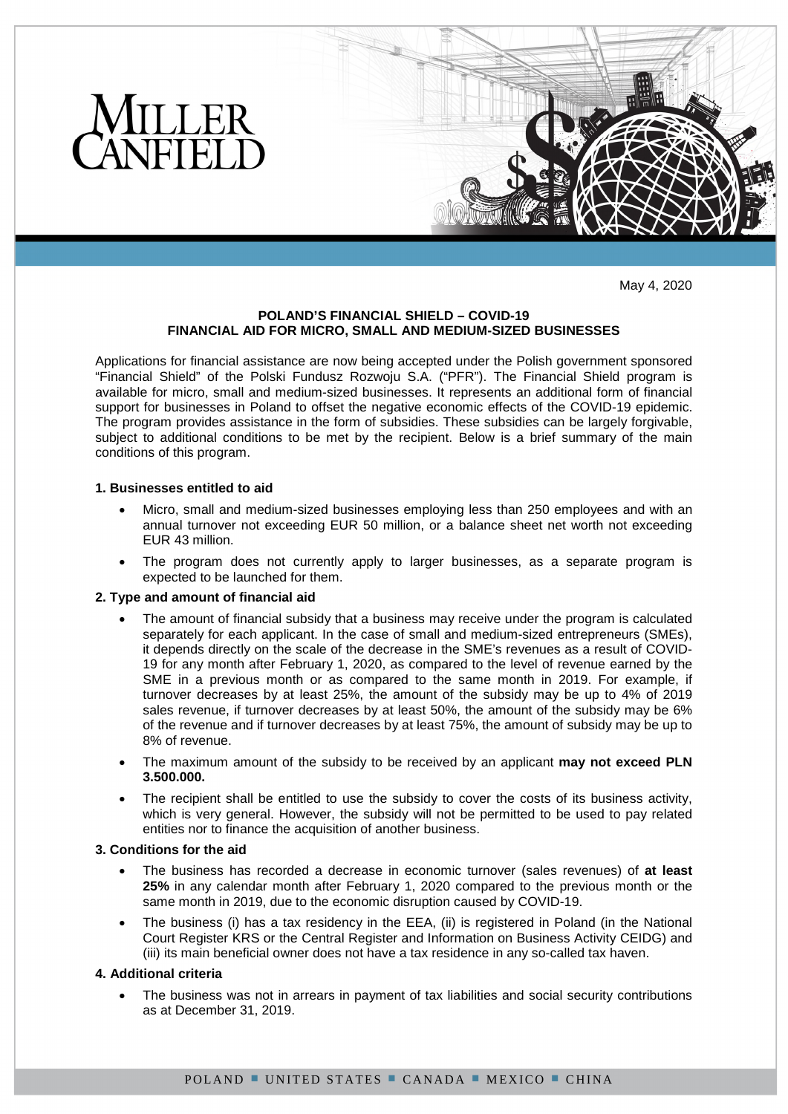

May 4, 2020

# **POLAND'S FINANCIAL SHIELD – COVID-19 FINANCIAL AID FOR MICRO, SMALL AND MEDIUM-SIZED BUSINESSES**

Applications for financial assistance are now being accepted under the Polish government sponsored "Financial Shield" of the Polski Fundusz Rozwoju S.A. ("PFR"). The Financial Shield program is available for micro, small and medium-sized businesses. It represents an additional form of financial support for businesses in Poland to offset the negative economic effects of the COVID-19 epidemic. The program provides assistance in the form of subsidies. These subsidies can be largely forgivable, subject to additional conditions to be met by the recipient. Below is a brief summary of the main conditions of this program.

## **1. Businesses entitled to aid**

- Micro, small and medium-sized businesses employing less than 250 employees and with an annual turnover not exceeding EUR 50 million, or a balance sheet net worth not exceeding EUR 43 million.
- The program does not currently apply to larger businesses, as a separate program is expected to be launched for them.

### **2. Type and amount of financial aid**

- The amount of financial subsidy that a business may receive under the program is calculated separately for each applicant. In the case of small and medium-sized entrepreneurs (SMEs), it depends directly on the scale of the decrease in the SME's revenues as a result of COVID-19 for any month after February 1, 2020, as compared to the level of revenue earned by the SME in a previous month or as compared to the same month in 2019. For example, if turnover decreases by at least 25%, the amount of the subsidy may be up to 4% of 2019 sales revenue, if turnover decreases by at least 50%, the amount of the subsidy may be 6% of the revenue and if turnover decreases by at least 75%, the amount of subsidy may be up to 8% of revenue.
- The maximum amount of the subsidy to be received by an applicant **may not exceed PLN 3.500.000.**
- The recipient shall be entitled to use the subsidy to cover the costs of its business activity, which is very general. However, the subsidy will not be permitted to be used to pay related entities nor to finance the acquisition of another business.

### **3. Conditions for the aid**

- The business has recorded a decrease in economic turnover (sales revenues) of **at least 25%** in any calendar month after February 1, 2020 compared to the previous month or the same month in 2019, due to the economic disruption caused by COVID-19.
- The business (i) has a tax residency in the EEA, (ii) is registered in Poland (in the National Court Register KRS or the Central Register and Information on Business Activity CEIDG) and (iii) its main beneficial owner does not have a tax residence in any so-called tax haven.

# **4. Additional criteria**

 The business was not in arrears in payment of tax liabilities and social security contributions as at December 31, 2019.